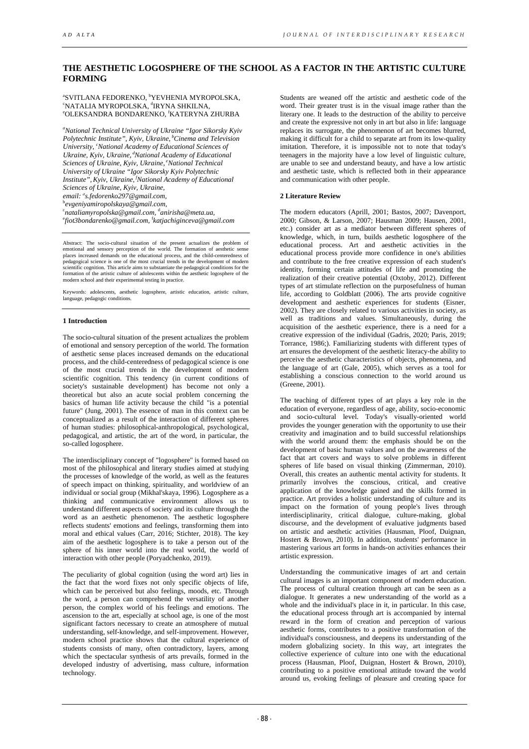# **THE AESTHETIC LOGOSPHERE OF THE SCHOOL AS A FACTOR IN THE ARTISTIC CULTURE FORMING**

<sup>a</sup>svitlana fedorenko, <sup>b</sup>yevhenia myropolska,<br><sup>snatalia myropolska, <sup>d</sup>irvna shku na</sup> **"NATALIA MYROPOLSKA, <sup>d</sup>IRYNA SHKILNA,<br>"OLEKSANDRA BONDARENKO, <sup>f</sup>KATERYNA"** OLEKSANDRA BONDARENKO, <sup>f</sup>KATERYNA ZHURBA

*a National Technical University of Ukraine "Igor Sikorsky Kyiv*  Polytechnic Institute", Kyiv, Ukraine, <sup>b</sup>Cinema and Television University, <sup>c</sup>National Academy of Educational Sciences of Ukraine, Kyiv, Ukraine, <sup>d</sup>National Academy of Educational *Sciences of Ukraine, Kyiv, Ukraine, <sup>e</sup>National Technical University of Ukraine "Igor Sikorsky Kyiv Polytechnic*  Institute", Kyiv, Ukraine, <sup>f</sup>National Academy of Educational *email: а s.fedorenko297@gmail.com, Sciences of Ukraine, Kyiv, Ukraine,* 

c *nataliamyropolska@gmail.com,* <sup>d</sup> *anirisha@meta.ua,* e *fiot3bondarenko@gmail.com,* <sup>f</sup> *katjachiginceva@gmail.com* 

Abstract: The socio-cultural situation of the present actualizes the problem of emotional and sensory perception of the world. The formation of aesthetic sense places increased demands on the educational process, and the child-centeredness of<br>pedagogical science is one of the most crucial trends in the development of modern<br>scientific cognition. This article aims to substantiate formation of the artistic culture of adolescents within the aesthetic logosphere of the modern school and their experimental testing in practice.

Keywords: adolescents, aesthetic logosphere, artistic education, artistic culture, language, pedagogic conditions.

#### **1 Introduction**

The socio-cultural situation of the present actualizes the problem of emotional and sensory perception of the world. The formation of aesthetic sense places increased demands on the educational process, and the child-centeredness of pedagogical science is one of the most crucial trends in the development of modern scientific cognition. This tendency (in current conditions of society's sustainable development) has become not only a theoretical but also an acute social problem concerning the basics of human life activity because the child "is a potential future" (Jung, 2001). The essence of man in this context can be conceptualized as a result of the interaction of different spheres of human studies: philosophical-anthropological, psychological, pedagogical, and artistic, the art of the word, in particular, the so-called logosphere.

The interdisciplinary concept of "logosphere" is formed based on most of the philosophical and literary studies aimed at studying the processes of knowledge of the world, as well as the features of speech impact on thinking, spirituality, and worldview of an individual or social group (Mikhal'skaya, 1996). Logosphere as a thinking and communicative environment allows us to understand different aspects of society and its culture through the word as an aesthetic phenomenon. The aesthetic logosphere reflects students' emotions and feelings, transforming them into moral and ethical values (Carr, 2016; Stichter, 2018). The key aim of the aesthetic logosphere is to take a person out of the sphere of his inner world into the real world, the world of interaction with other people (Poryadchenko, 2019).

The peculiarity of global cognition (using the word art) lies in the fact that the word fixes not only specific objects of life, which can be perceived but also feelings, moods, etc. Through the word, a person can comprehend the versatility of another person, the complex world of his feelings and emotions. The ascension to the art, especially at school age, is one of the most significant factors necessary to create an atmosphere of mutual understanding, self-knowledge, and self-improvement. However, modern school practice shows that the cultural experience of students consists of many, often contradictory, layers, among which the spectacular synthesis of arts prevails, formed in the developed industry of advertising, mass culture, information technology.

Students are weaned off the artistic and aesthetic code of the word. Their greater trust is in the visual image rather than the literary one. It leads to the destruction of the ability to perceive and create the expressive not only in art but also in life: language replaces its surrogate, the phenomenon of art becomes blurred, making it difficult for a child to separate art from its low-quality imitation. Therefore, it is impossible not to note that today's teenagers in the majority have a low level of linguistic culture, are unable to see and understand beauty, and have a low artistic and aesthetic taste, which is reflected both in their appearance and communication with other people.

### **2 Literature Review**

The modern educators (Aprill, 2001; Bastos, 2007; Davenport, 2000; Gibson, & Larson, 2007; Hausman 2009; Hausen, 2001, etc.) consider art as a mediator between different spheres of knowledge, which, in turn, builds aesthetic logosphere of the educational process. Art and aesthetic activities in the educational process provide more confidence in one's abilities and contribute to the free creative expression of each student's identity, forming certain attitudes of life and promoting the realization of their creative potential (Oxtoby, 2012). Different types of art stimulate reflection on the purposefulness of human life, according to Goldblatt (2006). The arts provide cognitive development and aesthetic experiences for students (Eisner, 2002). They are closely related to various activities in society, as well as traditions and values. Simultaneously, during the acquisition of the aesthetic experience, there is a need for a creative expression of the individual (Gadris, 2020; Paris, 2019; Torrance, 1986;). Familiarizing students with different types of art ensures the development of the aesthetic literacy-the ability to perceive the aesthetic characteristics of objects, phenomena, and the language of art (Gale, 2005), which serves as a tool for establishing a conscious connection to the world around us (Greene, 2001).

The teaching of different types of art plays a key role in the education of everyone, regardless of age, ability, socio-economic and socio-cultural level. Today's visually-oriented world provides the younger generation with the opportunity to use their creativity and imagination and to build successful relationships with the world around them: the emphasis should be on the development of basic human values and on the awareness of the fact that art covers and ways to solve problems in different spheres of life based on visual thinking (Zimmerman, 2010). Overall, this creates an authentic mental activity for students. It primarily involves the conscious, critical, and creative application of the knowledge gained and the skills formed in practice. Art provides a holistic understanding of culture and its impact on the formation of young people's lives through interdisciplinarity, critical dialogue, culture-making, global discourse, and the development of evaluative judgments based on artistic and aesthetic activities (Hausman, Ploof, Duignan, Hostert & Brown, 2010). In addition, students' performance in mastering various art forms in hands-on activities enhances their artistic expression.

Understanding the communicative images of art and certain cultural images is an important component of modern education. The process of cultural creation through art can be seen as a dialogue. It generates a new understanding of the world as a whole and the individual's place in it, in particular. In this case, the educational process through art is accompanied by internal reward in the form of creation and perception of various aesthetic forms, contributes to a positive transformation of the individual's consciousness, and deepens its understanding of the modern globalizing society. In this way, art integrates the collective experience of culture into one with the educational process (Hausman, Ploof, Duignan, Hostert & Brown, 2010), contributing to a positive emotional attitude toward the world around us, evoking feelings of pleasure and creating space for

b *evgeniyamiropolskaya@gmail.com,*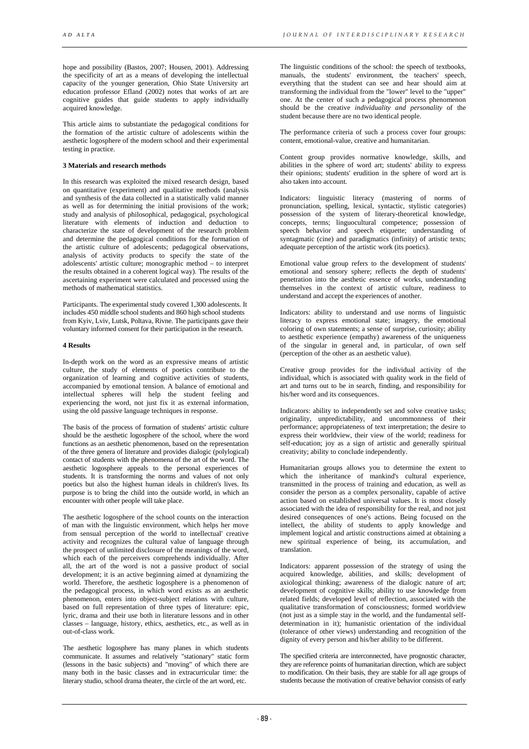hope and possibility (Bastos, 2007; Housen, 2001). Addressing the specificity of art as a means of developing the intellectual capacity of the younger generation, Ohio State University art education professor Efland (2002) notes that works of art are cognitive guides that guide students to apply individually acquired knowledge.

This article aims to substantiate the pedagogical conditions for the formation of the artistic culture of adolescents within the aesthetic logosphere of the modern school and their experimental testing in practice.

### **3 Materials and research methods**

In this research was exploited the mixed research design, based on quantitative (experiment) and qualitative methods (analysis and synthesis of the data collected in a statistically valid manner as well as for determining the initial provisions of the work; study and analysis of philosophical, pedagogical, psychological literature with elements of induction and deduction to characterize the state of development of the research problem and determine the pedagogical conditions for the formation of the artistic culture of adolescents; pedagogical observations, analysis of activity products to specify the state of the adolescents' artistic culture; monographic method – to interpret the results obtained in a coherent logical way). The results of the ascertaining experiment were calculated and processed using the methods of mathematical statistics.

Participants. The experimental study covered 1,300 adolescents. It includes 450 middle school students and 860 high school students from Kyiv, Lviv, Lutsk, Poltava, Rivne. The participants gave their voluntary informed consent for their participation in the research.

### **4 Results**

In-depth work on the word as an expressive means of artistic culture, the study of elements of poetics contribute to the organization of learning and cognitive activities of students, accompanied by emotional tension. A balance of emotional and intellectual spheres will help the student feeling and experiencing the word, not just fix it as external information, using the old passive language techniques in response.

The basis of the process of formation of students' artistic culture should be the aesthetic logosphere of the school, where the word functions as an aesthetic phenomenon, based on the representation of the three genera of literature and provides dialogic (polylogical) contact of students with the phenomena of the art of the word. The aesthetic logosphere appeals to the personal experiences of students. It is transforming the norms and values of not only poetics but also the highest human ideals in children's lives. Its purpose is to bring the child into the outside world, in which an encounter with other people will take place.

The aesthetic logosphere of the school counts on the interaction of man with the linguistic environment, which helps her move from sensual perception of the world to intellectual' creative activity and recognizes the cultural value of language through the prospect of unlimited disclosure of the meanings of the word, which each of the perceivers comprehends individually. After all, the art of the word is not a passive product of social development; it is an active beginning aimed at dynamizing the world. Therefore, the aesthetic logosphere is a phenomenon of the pedagogical process, in which word exists as an aesthetic phenomenon, enters into object-subject relations with culture, based on full representation of three types of literature: epic, lyric, drama and their use both in literature lessons and in other classes – language, history, ethics, aesthetics, etc., as well as in out-of-class work.

The aesthetic logosphere has many planes in which students communicate. It assumes and relatively "stationary" static form (lessons in the basic subjects) and "moving" of which there are many both in the basic classes and in extracurricular time: the literary studio, school drama theater, the circle of the art word, etc.

The linguistic conditions of the school: the speech of textbooks, manuals, the students' environment, the teachers' speech, everything that the student can see and hear should aim at transforming the individual from the "lower" level to the "upper" one. At the center of such a pedagogical process phenomenon should be the creative *individuality* and *personality* of the student because there are no two identical people.

The performance criteria of such a process cover four groups: content, emotional-value, creative and humanitarian.

Content group provides normative knowledge, skills, and abilities in the sphere of word art; students' ability to express their opinions; students' erudition in the sphere of word art is also taken into account.

Indicators: linguistic literacy (mastering of norms of pronunciation, spelling, lexical, syntactic, stylistic categories) possession of the system of literary-theoretical knowledge, concepts, terms; linguocultural competence; possession of speech behavior and speech etiquette: understanding of syntagmatic (cine) and paradigmatics (infinity) of artistic texts; adequate perception of the artistic work (its poetics).

Emotional value group refers to the development of students' emotional and sensory sphere; reflects the depth of students' penetration into the aesthetic essence of works, understanding themselves in the context of artistic culture, readiness to understand and accept the experiences of another.

Indicators: ability to understand and use norms of linguistic literacy to express emotional state; imagery, the emotional coloring of own statements; a sense of surprise, curiosity; ability to aesthetic experience (empathy) awareness of the uniqueness of the singular in general and, in particular, of own self (perception of the other as an aesthetic value).

Creative group provides for the individual activity of the individual, which is associated with quality work in the field of art and turns out to be in search, finding, and responsibility for his/her word and its consequences.

Indicators: ability to independently set and solve creative tasks; originality, unpredictability, and uncommonness of their performance; appropriateness of text interpretation; the desire to express their worldview, their view of the world; readiness for self-education; joy as a sign of artistic and generally spiritual creativity; ability to conclude independently.

Humanitarian groups allows you to determine the extent to which the inheritance of mankind's cultural experience, transmitted in the process of training and education, as well as consider the person as a complex personality, capable of active action based on established universal values. It is most closely associated with the idea of responsibility for the real, and not just desired consequences of one's actions. Being focused on the intellect, the ability of students to apply knowledge and implement logical and artistic constructions aimed at obtaining a new spiritual experience of being, its accumulation, and translation.

Indicators: apparent possession of the strategy of using the acquired knowledge, abilities, and skills; development of axiological thinking; awareness of the dialogic nature of art; development of cognitive skills; ability to use knowledge from related fields; developed level of reflection, associated with the qualitative transformation of consciousness; formed worldview (not just as a simple stay in the world, and the fundamental selfdetermination in it); humanistic orientation of the individual (tolerance of other views) understanding and recognition of the dignity of every person and his/her ability to be different.

The specified criteria are interconnected, have prognostic character, they are reference points of humanitarian direction, which are subject to modification. On their basis, they are stable for all age groups of students because the motivation of creative behavior consists of early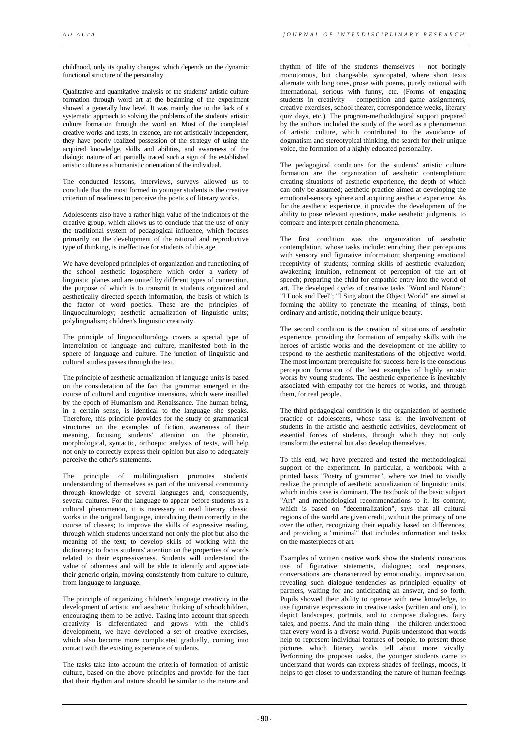childhood, only its quality changes, which depends on the dynamic functional structure of the personality.

Qualitative and quantitative analysis of the students' artistic culture formation through word art at the beginning of the experiment showed a generally low level. It was mainly due to the lack of a systematic approach to solving the problems of the students' artistic culture formation through the word art. Most of the completed creative works and tests, in essence, are not artistically independent, they have poorly realized possession of the strategy of using the acquired knowledge, skills and abilities, and awareness of the dialogic nature of art partially traced such a sign of the established artistic culture as a humanistic orientation of the individual.

The conducted lessons, interviews, surveys allowed us to conclude that the most formed in younger students is the creative criterion of readiness to perceive the poetics of literary works.

Adolescents also have a rather high value of the indicators of the creative group, which allows us to conclude that the use of only the traditional system of pedagogical influence, which focuses primarily on the development of the rational and reproductive type of thinking, is ineffective for students of this age.

We have developed principles of organization and functioning of the school aesthetic logosphere which order a variety of linguistic planes and are united by different types of connection, the purpose of which is to transmit to students organized and aesthetically directed speech information, the basis of which is the factor of word poetics. These are the principles of linguoculturology; aesthetic actualization of linguistic units; polylingualism; children's linguistic creativity.

The principle of linguoculturology covers a special type of interrelation of language and culture, manifested both in the sphere of language and culture. The junction of linguistic and cultural studies passes through the text.

The principle of aesthetic actualization of language units is based on the consideration of the fact that grammar emerged in the course of cultural and cognitive intensions, which were instilled by the epoch of Humanism and Renaissance. The human being, in a certain sense, is identical to the language she speaks. Therefore, this principle provides for the study of grammatical structures on the examples of fiction, awareness of their meaning, focusing students' attention on the phonetic, morphological, syntactic, orthoepic analysis of texts, will help not only to correctly express their opinion but also to adequately perceive the other's statements.

The principle of multilingualism promotes students' understanding of themselves as part of the universal community through knowledge of several languages and, consequently, several cultures. For the language to appear before students as a cultural phenomenon, it is necessary to read literary classic works in the original language, introducing them correctly in the course of classes; to improve the skills of expressive reading, through which students understand not only the plot but also the meaning of the text; to develop skills of working with the dictionary; to focus students' attention on the properties of words related to their expressiveness. Students will understand the value of otherness and will be able to identify and appreciate their generic origin, moving consistently from culture to culture, from language to language.

The principle of organizing children's language creativity in the development of artistic and aesthetic thinking of schoolchildren, encouraging them to be active. Taking into account that speech creativity is differentiated and grows with the child's development, we have developed a set of creative exercises, which also become more complicated gradually, coming into contact with the existing experience of students.

The tasks take into account the criteria of formation of artistic culture, based on the above principles and provide for the fact that their rhythm and nature should be similar to the nature and

rhythm of life of the students themselves – not boringly monotonous, but changeable, syncopated, where short texts alternate with long ones, prose with poems, purely national with international, serious with funny, etc. (Forms of engaging students in creativity – competition and game assignments, creative exercises, school theater, correspondence weeks, literary quiz days, etc.). The program-methodological support prepared by the authors included the study of the word as a phenomenon of artistic culture, which contributed to the avoidance of dogmatism and stereotypical thinking, the search for their unique voice, the formation of a highly educated personality.

The pedagogical conditions for the students' artistic culture formation are the organization of aesthetic contemplation; creating situations of aesthetic experience, the depth of which can only be assumed; aesthetic practice aimed at developing the emotional-sensory sphere and acquiring aesthetic experience. As for the aesthetic experience, it provides the development of the ability to pose relevant questions, make aesthetic judgments, to compare and interpret certain phenomena.

The first condition was the organization of aesthetic contemplation, whose tasks include: enriching their perceptions with sensory and figurative information; sharpening emotional receptivity of students; forming skills of aesthetic evaluation; awakening intuition, refinement of perception of the art of speech; preparing the child for empathic entry into the world of art. The developed cycles of creative tasks "Word and Nature"; "I Look and Feel"; "I Sing about the Object World" are aimed at forming the ability to penetrate the meaning of things, both ordinary and artistic, noticing their unique beauty.

The second condition is the creation of situations of aesthetic experience, providing the formation of empathy skills with the heroes of artistic works and the development of the ability to respond to the aesthetic manifestations of the objective world. The most important prerequisite for success here is the conscious perception formation of the best examples of highly artistic works by young students. The aesthetic experience is inevitably associated with empathy for the heroes of works, and through them, for real people.

The third pedagogical condition is the organization of aesthetic practice of adolescents, whose task is: the involvement of students in the artistic and aesthetic activities, development of essential forces of students, through which they not only transform the external but also develop themselves.

To this end, we have prepared and tested the methodological support of the experiment. In particular, a workbook with a printed basis "Poetry of grammar", where we tried to vividly realize the principle of aesthetic actualization of linguistic units, which in this case is dominant. The textbook of the basic subject "Art" and methodological recommendations to it. Its content, which is based on "decentralization", says that all cultural regions of the world are given credit, without the primacy of one over the other, recognizing their equality based on differences, and providing a "minimal" that includes information and tasks on the masterpieces of art.

Examples of written creative work show the students' conscious use of figurative statements, dialogues; oral responses, conversations are characterized by emotionality, improvisation, revealing such dialogue tendencies as principled equality of partners, waiting for and anticipating an answer, and so forth. Pupils showed their ability to operate with new knowledge, to use figurative expressions in creative tasks (written and oral), to depict landscapes, portraits, and to compose dialogues, fairy tales, and poems. And the main thing – the children understood that every word is a diverse world. Pupils understood that words help to represent individual features of people, to present those pictures which literary works tell about more vividly. Performing the proposed tasks, the younger students came to understand that words can express shades of feelings, moods, it helps to get closer to understanding the nature of human feelings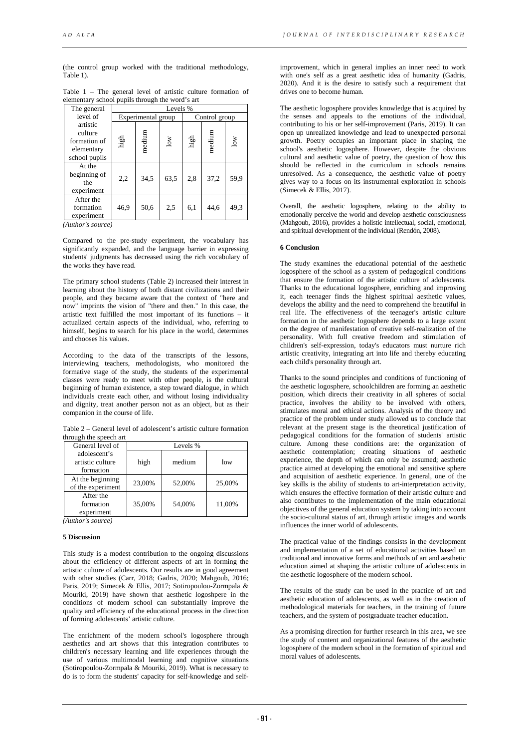(the control group worked with the traditional methodology, Table 1).

|                                                 |  |  |  |  |  |  |  |  |  | Table $1$ – The general level of artistic culture formation of |  |
|-------------------------------------------------|--|--|--|--|--|--|--|--|--|----------------------------------------------------------------|--|
| elementary school pupils through the word's art |  |  |  |  |  |  |  |  |  |                                                                |  |

| The general                                                        | Levels % |                    |                           |               |        |        |  |  |
|--------------------------------------------------------------------|----------|--------------------|---------------------------|---------------|--------|--------|--|--|
| level of                                                           |          | Experimental group |                           | Control group |        |        |  |  |
| artistic<br>culture<br>formation of<br>elementary<br>school pupils | high     | medium             | $\overline{\mathsf{low}}$ | $_{\rm high}$ | medium | $\log$ |  |  |
| At the<br>beginning of<br>the<br>experiment                        | 2,2      | 34,5               | 63,5                      | 2,8           | 37,2   | 59,9   |  |  |
| After the<br>formation<br>experiment<br>.                          | 46,9     | 50,6               | 2,5                       | 6,1           | 44,6   | 49,3   |  |  |

*(Author's source)*

Compared to the pre-study experiment, the vocabulary has significantly expanded, and the language barrier in expressing students' judgments has decreased using the rich vocabulary of the works they have read.

The primary school students (Table 2) increased their interest in learning about the history of both distant civilizations and their people, and they became aware that the context of "here and now" imprints the vision of "there and then." In this case, the artistic text fulfilled the most important of its functions – it actualized certain aspects of the individual, who, referring to himself, begins to search for his place in the world, determines and chooses his values.

According to the data of the transcripts of the lessons, interviewing teachers, methodologists, who monitored the formative stage of the study, the students of the experimental classes were ready to meet with other people, is the cultural beginning of human existence, a step toward dialogue, in which individuals create each other, and without losing individuality and dignity, treat another person not as an object, but as their companion in the course of life.

Table 2 **–** General level of adolescent's artistic culture formation through the speech art

| General level of                              | Levels % |        |        |  |  |  |
|-----------------------------------------------|----------|--------|--------|--|--|--|
| adolescent's<br>artistic culture<br>formation | high     | medium | low    |  |  |  |
| At the beginning<br>of the experiment         | 23,00%   | 52,00% | 25,00% |  |  |  |
| After the<br>formation<br>experiment          | 35,00%   | 54,00% | 11,00% |  |  |  |

*(Author's source)*

### **5 Discussion**

This study is a modest contribution to the ongoing discussions about the efficiency of different aspects of art in forming the artistic culture of adolescents. Our results are in good agreement with other studies (Carr, 2018; Gadris, 2020; Mahgoub, 2016; Paris, 2019; Simecek & Ellis, 2017; Sotiropoulou-Zormpala & Mouriki, 2019) have shown that aesthetic logoshpere in the conditions of modern school can substantially improve the quality and efficiency of the educational process in the direction of forming adolescents' artistic culture.

The enrichment of the modern school's logosphere through aesthetics and art shows that this integration contributes to children's necessary learning and life experiences through the use of various multimodal learning and cognitive situations (Sotiropoulou-Zormpala & Mouriki, 2019). What is necessary to do is to form the students' capacity for self-knowledge and self-

improvement, which in general implies an inner need to work with one's self as a great aesthetic idea of humanity (Gadris, 2020). And it is the desire to satisfy such a requirement that drives one to become human.

The aesthetic logosphere provides knowledge that is acquired by the senses and appeals to the emotions of the individual, contributing to his or her self-improvement (Paris, 2019). It can open up unrealized knowledge and lead to unexpected personal growth. Poetry occupies an important place in shaping the school's aesthetic logosphere. However, despite the obvious cultural and aesthetic value of poetry, the question of how this should be reflected in the curriculum in schools remains unresolved. As a consequence, the aesthetic value of poetry gives way to a focus on its instrumental exploration in schools (Simecek & Ellis, 2017).

Overall, the aesthetic logosphere, relating to the ability to emotionally perceive the world and develop aesthetic consciousness (Mahgoub, 2016), provides a holistic intellectual, social, emotional, and spiritual development of the individual (Rendón, 2008).

## **6 Conclusion**

The study examines the educational potential of the aesthetic logosphere of the school as a system of pedagogical conditions that ensure the formation of the artistic culture of adolescents. Thanks to the educational logosphere, enriching and improving it, each teenager finds the highest spiritual aesthetic values, develops the ability and the need to comprehend the beautiful in real life. The effectiveness of the teenager's artistic culture formation in the aesthetic logosphere depends to a large extent on the degree of manifestation of creative self-realization of the personality. With full creative freedom and stimulation of children's self-expression, today's educators must nurture rich artistic creativity, integrating art into life and thereby educating each child's personality through art.

Thanks to the sound principles and conditions of functioning of the aesthetic logosphere, schoolchildren are forming an aesthetic position, which directs their creativity in all spheres of social practice, involves the ability to be involved with others, stimulates moral and ethical actions. Analysis of the theory and practice of the problem under study allowed us to conclude that relevant at the present stage is the theoretical justification of pedagogical conditions for the formation of students' artistic culture. Among these conditions are: the organization of aesthetic contemplation; creating situations of aesthetic experience, the depth of which can only be assumed; aesthetic practice aimed at developing the emotional and sensitive sphere and acquisition of aesthetic experience. In general, one of the key skills is the ability of students to art-interpretation activity, which ensures the effective formation of their artistic culture and also contributes to the implementation of the main educational objectives of the general education system by taking into account the socio-cultural status of art, through artistic images and words influences the inner world of adolescents.

The practical value of the findings consists in the development and implementation of a set of educational activities based on traditional and innovative forms and methods of art and aesthetic education aimed at shaping the artistic culture of adolescents in the aesthetic logosphere of the modern school.

The results of the study can be used in the practice of art and aesthetic education of adolescents, as well as in the creation of methodological materials for teachers, in the training of future teachers, and the system of postgraduate teacher education.

As a promising direction for further research in this area, we see the study of content and organizational features of the aesthetic logosphere of the modern school in the formation of spiritual and moral values of adolescents.